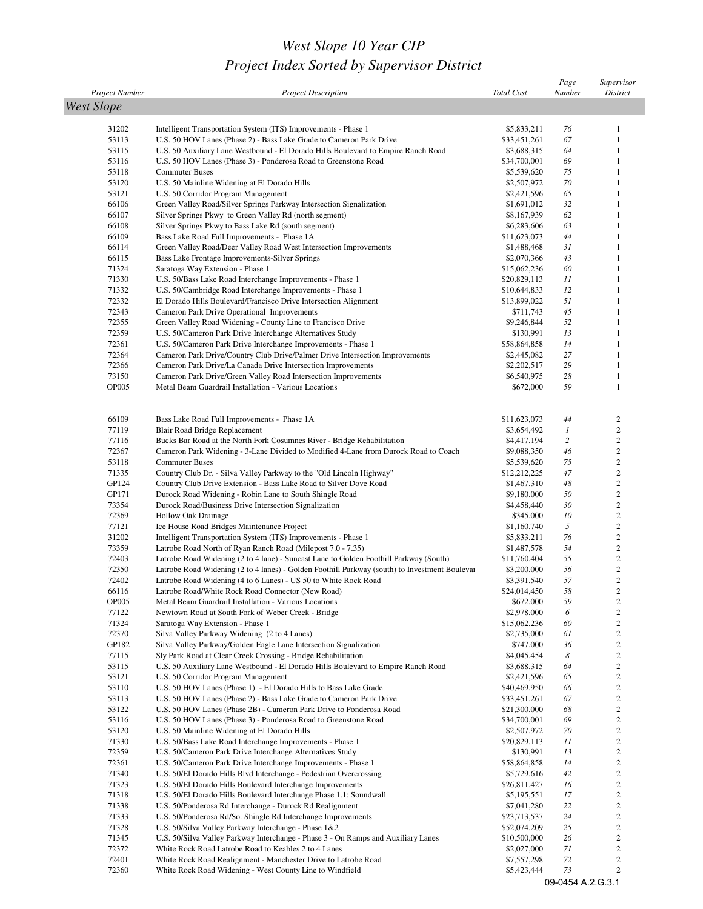## *West Slope 10 Year CIP Project Index Sorted by Supervisor District*

|                       |                                                                                                                                       |                            | Page                  | Supervisor                       |
|-----------------------|---------------------------------------------------------------------------------------------------------------------------------------|----------------------------|-----------------------|----------------------------------|
| <b>Project Number</b> | <b>Project Description</b>                                                                                                            | <b>Total Cost</b>          | Number                | District                         |
| <b>West Slope</b>     |                                                                                                                                       |                            |                       |                                  |
| 31202                 |                                                                                                                                       | \$5,833,211                | 76                    | $\mathbf{1}$                     |
| 53113                 | Intelligent Transportation System (ITS) Improvements - Phase 1<br>U.S. 50 HOV Lanes (Phase 2) - Bass Lake Grade to Cameron Park Drive | \$33,451,261               | 67                    | $\mathbf{1}$                     |
| 53115                 | U.S. 50 Auxiliary Lane Westbound - El Dorado Hills Boulevard to Empire Ranch Road                                                     | \$3,688,315                | 64                    | $\mathbf{1}$                     |
| 53116                 | U.S. 50 HOV Lanes (Phase 3) - Ponderosa Road to Greenstone Road                                                                       | \$34,700,001               | 69                    | $\mathbf{1}$                     |
| 53118                 | <b>Commuter Buses</b>                                                                                                                 | \$5,539,620                | 75                    | 1                                |
| 53120                 | U.S. 50 Mainline Widening at El Dorado Hills                                                                                          | \$2,507,972                | 70                    | $\mathbf{1}$                     |
| 53121                 | U.S. 50 Corridor Program Management                                                                                                   | \$2,421,596                | 65                    | $\mathbf{1}$                     |
| 66106                 | Green Valley Road/Silver Springs Parkway Intersection Signalization                                                                   | \$1,691,012                | 32                    | $\mathbf{1}$                     |
| 66107                 | Silver Springs Pkwy to Green Valley Rd (north segment)                                                                                | \$8,167,939                | 62                    | $\mathbf{1}$                     |
| 66108                 | Silver Springs Pkwy to Bass Lake Rd (south segment)                                                                                   | \$6,283,606                | 63                    | $\mathbf{1}$                     |
| 66109                 | Bass Lake Road Full Improvements - Phase 1A                                                                                           | \$11,623,073               | 44                    | $\mathbf{1}$<br>$\mathbf{1}$     |
| 66114<br>66115        | Green Valley Road/Deer Valley Road West Intersection Improvements<br>Bass Lake Frontage Improvements-Silver Springs                   | \$1,488,468<br>\$2,070,366 | 31<br>43              | $\mathbf{1}$                     |
| 71324                 | Saratoga Way Extension - Phase 1                                                                                                      | \$15,062,236               | 60                    | $\mathbf{1}$                     |
| 71330                 | U.S. 50/Bass Lake Road Interchange Improvements - Phase 1                                                                             | \$20,829,113               | $_{II}$               | $\mathbf{1}$                     |
| 71332                 | U.S. 50/Cambridge Road Interchange Improvements - Phase 1                                                                             | \$10,644,833               | 12                    | $\mathbf{1}$                     |
| 72332                 | El Dorado Hills Boulevard/Francisco Drive Intersection Alignment                                                                      | \$13,899,022               | 51                    | $\mathbf{1}$                     |
| 72343                 | Cameron Park Drive Operational Improvements                                                                                           | \$711,743                  | 45                    | $\mathbf{1}$                     |
| 72355                 | Green Valley Road Widening - County Line to Francisco Drive                                                                           | \$9,246,844                | 52                    | $\mathbf{1}$                     |
| 72359                 | U.S. 50/Cameron Park Drive Interchange Alternatives Study                                                                             | \$130,991                  | 13                    | $\mathbf{1}$                     |
| 72361                 | U.S. 50/Cameron Park Drive Interchange Improvements - Phase 1                                                                         | \$58,864,858               | 14                    | $\mathbf{1}$                     |
| 72364                 | Cameron Park Drive/Country Club Drive/Palmer Drive Intersection Improvements                                                          | \$2,445,082                | 27                    | $\mathbf{1}$                     |
| 72366                 | Cameron Park Drive/La Canada Drive Intersection Improvements                                                                          | \$2,202,517                | 29                    | $\mathbf{1}$                     |
| 73150                 | Cameron Park Drive/Green Valley Road Intersection Improvements                                                                        | \$6,540,975                | 28                    | $\mathbf{1}$                     |
| <b>OP005</b>          | Metal Beam Guardrail Installation - Various Locations                                                                                 | \$672,000                  | 59                    | $\mathbf{1}$                     |
|                       |                                                                                                                                       |                            |                       |                                  |
|                       |                                                                                                                                       |                            |                       |                                  |
| 66109                 | Bass Lake Road Full Improvements - Phase 1A                                                                                           | \$11,623,073               | 44                    | 2<br>$\sqrt{2}$                  |
| 77119                 | Blair Road Bridge Replacement                                                                                                         | \$3,654,492                | $\boldsymbol{l}$<br>2 | $\overline{c}$                   |
| 77116<br>72367        | Bucks Bar Road at the North Fork Cosumnes River - Bridge Rehabilitation                                                               | \$4,417,194<br>\$9,088,350 | 46                    | $\overline{c}$                   |
| 53118                 | Cameron Park Widening - 3-Lane Divided to Modified 4-Lane from Durock Road to Coach<br><b>Commuter Buses</b>                          | \$5,539,620                | 75                    | $\overline{c}$                   |
| 71335                 | Country Club Dr. - Silva Valley Parkway to the "Old Lincoln Highway"                                                                  | \$12,212,225               | 47                    | $\boldsymbol{2}$                 |
| GP124                 | Country Club Drive Extension - Bass Lake Road to Silver Dove Road                                                                     | \$1,467,310                | 48                    | $\boldsymbol{2}$                 |
| GP171                 | Durock Road Widening - Robin Lane to South Shingle Road                                                                               | \$9,180,000                | 50                    | $\boldsymbol{2}$                 |
| 73354                 | Durock Road/Business Drive Intersection Signalization                                                                                 | \$4,458,440                | 30                    | $\boldsymbol{2}$                 |
| 72369                 | Hollow Oak Drainage                                                                                                                   | \$345,000                  | 10                    | $\overline{c}$                   |
| 77121                 | Ice House Road Bridges Maintenance Project                                                                                            | \$1,160,740                | 5                     | $\boldsymbol{2}$                 |
| 31202                 | Intelligent Transportation System (ITS) Improvements - Phase 1                                                                        | \$5,833,211                | 76                    | $\boldsymbol{2}$                 |
| 73359                 | Latrobe Road North of Ryan Ranch Road (Milepost 7.0 - 7.35)                                                                           | \$1,487,578                | 54                    | $\boldsymbol{2}$                 |
| 72403                 | Latrobe Road Widening (2 to 4 lane) - Suncast Lane to Golden Foothill Parkway (South)                                                 | \$11,760,404               | 55                    | $\boldsymbol{2}$                 |
| 72350                 | Latrobe Road Widening (2 to 4 lanes) - Golden Foothill Parkway (south) to Investment Boulevar                                         | \$3,200,000                | 56                    | $\sqrt{2}$                       |
| 72402                 | Latrobe Road Widening (4 to 6 Lanes) - US 50 to White Rock Road                                                                       | \$3,391,540                | 57                    | $\overline{c}$                   |
| 66116                 | Latrobe Road/White Rock Road Connector (New Road)                                                                                     | \$24,014,450               | 58                    | $\overline{c}$                   |
| OP005                 | Metal Beam Guardrail Installation - Various Locations                                                                                 | \$672,000                  | 59                    | $\overline{c}$                   |
| 77122                 | Newtown Road at South Fork of Weber Creek - Bridge                                                                                    | \$2,978,000                | 6                     | $\boldsymbol{2}$                 |
| 71324                 | Saratoga Way Extension - Phase 1                                                                                                      | \$15,062,236               | 60                    | $\overline{c}$                   |
| 72370                 | Silva Valley Parkway Widening (2 to 4 Lanes)                                                                                          | \$2,735,000                | 61                    | $\overline{c}$                   |
| GP182                 | Silva Valley Parkway/Golden Eagle Lane Intersection Signalization                                                                     | \$747,000                  | 36                    | $\overline{c}$                   |
| 77115<br>53115        | Sly Park Road at Clear Creek Crossing - Bridge Rehabilitation                                                                         | \$4,045,454                | 8<br>64               | $\overline{c}$<br>$\overline{c}$ |
| 53121                 | U.S. 50 Auxiliary Lane Westbound - El Dorado Hills Boulevard to Empire Ranch Road<br>U.S. 50 Corridor Program Management              | \$3,688,315<br>\$2,421,596 | 65                    | $\overline{c}$                   |
| 53110                 | U.S. 50 HOV Lanes (Phase 1) - El Dorado Hills to Bass Lake Grade                                                                      | \$40,469,950               | 66                    | $\overline{c}$                   |
| 53113                 | U.S. 50 HOV Lanes (Phase 2) - Bass Lake Grade to Cameron Park Drive                                                                   | \$33,451,261               | 67                    | $\sqrt{2}$                       |
| 53122                 | U.S. 50 HOV Lanes (Phase 2B) - Cameron Park Drive to Ponderosa Road                                                                   | \$21,300,000               | 68                    | $\overline{c}$                   |
| 53116                 | U.S. 50 HOV Lanes (Phase 3) - Ponderosa Road to Greenstone Road                                                                       | \$34,700,001               | 69                    | $\overline{c}$                   |
| 53120                 | U.S. 50 Mainline Widening at El Dorado Hills                                                                                          | \$2,507,972                | 70                    | $\overline{c}$                   |
| 71330                 | U.S. 50/Bass Lake Road Interchange Improvements - Phase 1                                                                             | \$20,829,113               | $_{II}$               | $\overline{c}$                   |
| 72359                 | U.S. 50/Cameron Park Drive Interchange Alternatives Study                                                                             | \$130,991                  | 13                    | $\overline{c}$                   |
| 72361                 | U.S. 50/Cameron Park Drive Interchange Improvements - Phase 1                                                                         | \$58,864,858               | 14                    | $\overline{c}$                   |
| 71340                 | U.S. 50/El Dorado Hills Blvd Interchange - Pedestrian Overcrossing                                                                    | \$5,729,616                | 42                    | $\overline{c}$                   |
| 71323                 | U.S. 50/El Dorado Hills Boulevard Interchange Improvements                                                                            | \$26,811,427               | 16                    | $\boldsymbol{2}$                 |
| 71318                 | U.S. 50/El Dorado Hills Boulevard Interchange Phase 1.1: Soundwall                                                                    | \$5,195,551                | 17                    | $\overline{c}$                   |
| 71338                 | U.S. 50/Ponderosa Rd Interchange - Durock Rd Realignment                                                                              | \$7,041,280                | 22                    | $\overline{c}$                   |
| 71333                 | U.S. 50/Ponderosa Rd/So. Shingle Rd Interchange Improvements                                                                          | \$23,713,537               | 24                    | $\overline{c}$                   |
| 71328                 | U.S. 50/Silva Valley Parkway Interchange - Phase 1&2                                                                                  | \$52,074,209               | 25                    | $\overline{c}$                   |
| 71345                 | U.S. 50/Silva Valley Parkway Interchange - Phase 3 - On Ramps and Auxiliary Lanes                                                     | \$10,500,000               | 26                    | $\overline{c}$                   |
| 72372                 | White Rock Road Latrobe Road to Keables 2 to 4 Lanes                                                                                  | \$2,027,000                | 71                    | $\overline{c}$                   |
| 72401                 | White Rock Road Realignment - Manchester Drive to Latrobe Road                                                                        | \$7,557,298                | 72                    | $\overline{c}$                   |
| 72360                 | White Rock Road Widening - West County Line to Windfield                                                                              | \$5,423,444                | 73                    | $\sqrt{2}$                       |